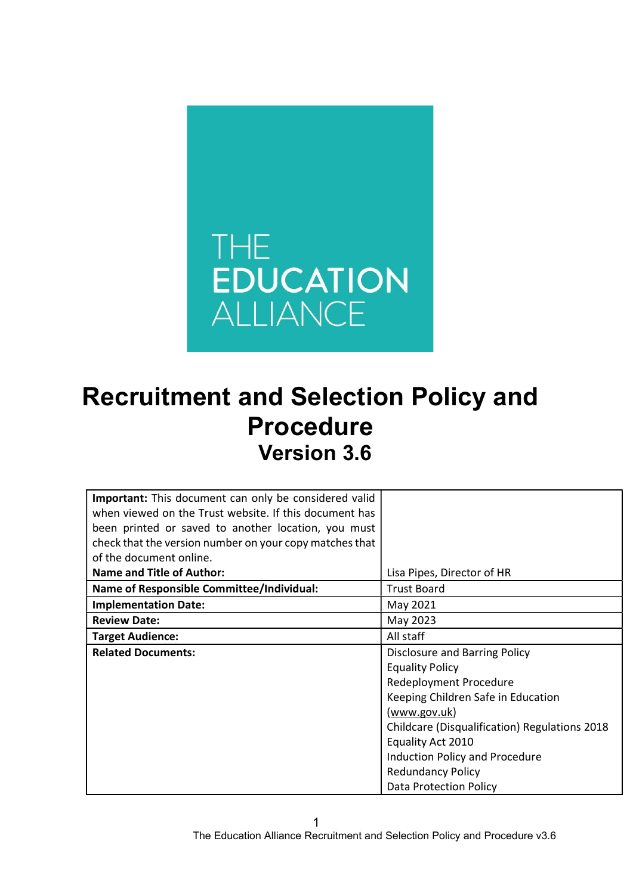

# Recruitment and Selection Policy and Procedure Version 3.6

| <b>Important:</b> This document can only be considered valid |                                                      |
|--------------------------------------------------------------|------------------------------------------------------|
| when viewed on the Trust website. If this document has       |                                                      |
| been printed or saved to another location, you must          |                                                      |
| check that the version number on your copy matches that      |                                                      |
| of the document online.                                      |                                                      |
| <b>Name and Title of Author:</b>                             | Lisa Pipes, Director of HR                           |
| <b>Name of Responsible Committee/Individual:</b>             | <b>Trust Board</b>                                   |
| <b>Implementation Date:</b>                                  | May 2021                                             |
| <b>Review Date:</b>                                          | May 2023                                             |
| <b>Target Audience:</b>                                      | All staff                                            |
| <b>Related Documents:</b>                                    | <b>Disclosure and Barring Policy</b>                 |
|                                                              | <b>Equality Policy</b>                               |
|                                                              | Redeployment Procedure                               |
|                                                              | Keeping Children Safe in Education                   |
|                                                              | (www.gov.uk)                                         |
|                                                              | <b>Childcare (Disqualification) Regulations 2018</b> |
|                                                              | Equality Act 2010                                    |
|                                                              | <b>Induction Policy and Procedure</b>                |
|                                                              | <b>Redundancy Policy</b>                             |
|                                                              | Data Protection Policy                               |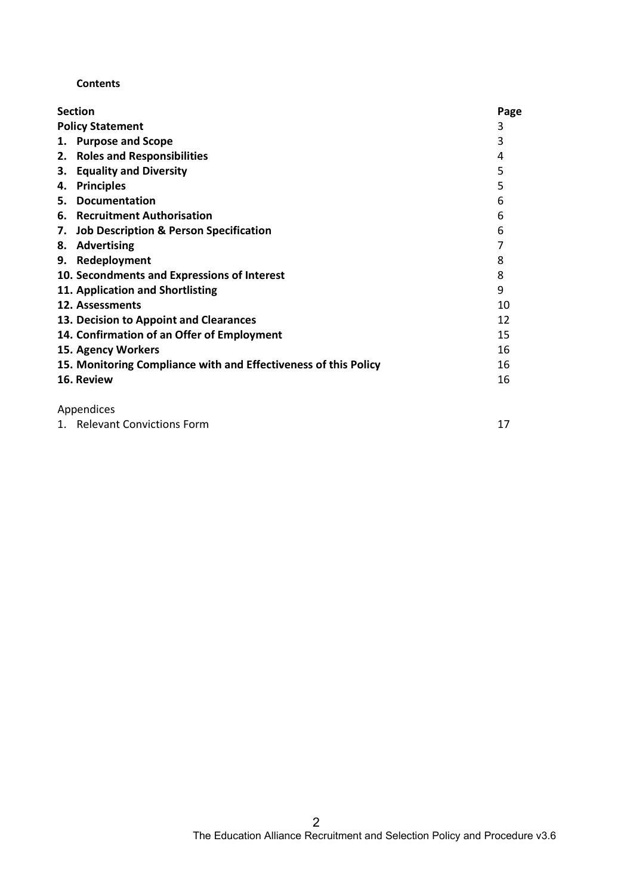#### **Contents**

| <b>Section</b>                                                  | Page |
|-----------------------------------------------------------------|------|
| <b>Policy Statement</b>                                         | 3    |
| <b>Purpose and Scope</b><br>1.                                  | 3    |
| <b>Roles and Responsibilities</b><br>2.                         | 4    |
| <b>Equality and Diversity</b><br>3.                             | 5    |
| <b>Principles</b><br>4.                                         | 5    |
| <b>Documentation</b><br>5.                                      | 6    |
| <b>Recruitment Authorisation</b><br>6.                          | 6    |
| <b>Job Description &amp; Person Specification</b><br>7.         | 6    |
| <b>Advertising</b><br>8.                                        |      |
| 9. Redeployment                                                 | 8    |
| 10. Secondments and Expressions of Interest                     | 8    |
| 11. Application and Shortlisting                                | 9    |
| 12. Assessments                                                 | 10   |
| 13. Decision to Appoint and Clearances                          | 12   |
| 14. Confirmation of an Offer of Employment                      | 15   |
| 15. Agency Workers                                              | 16   |
| 15. Monitoring Compliance with and Effectiveness of this Policy | 16   |
| 16. Review                                                      | 16   |
| Appendices                                                      |      |

| 1. Relevant Convictions Form |  |
|------------------------------|--|
|------------------------------|--|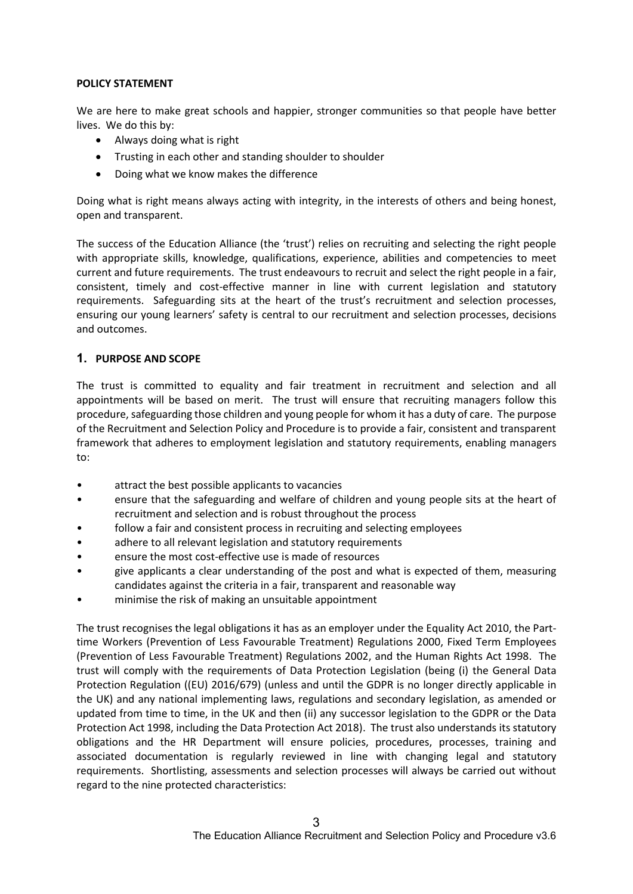#### POLICY STATEMENT

We are here to make great schools and happier, stronger communities so that people have better lives. We do this by:

- Always doing what is right
- Trusting in each other and standing shoulder to shoulder
- Doing what we know makes the difference

Doing what is right means always acting with integrity, in the interests of others and being honest, open and transparent.

The success of the Education Alliance (the 'trust') relies on recruiting and selecting the right people with appropriate skills, knowledge, qualifications, experience, abilities and competencies to meet current and future requirements. The trust endeavours to recruit and select the right people in a fair, consistent, timely and cost-effective manner in line with current legislation and statutory requirements. Safeguarding sits at the heart of the trust's recruitment and selection processes, ensuring our young learners' safety is central to our recruitment and selection processes, decisions and outcomes.

#### 1. PURPOSE AND SCOPE

The trust is committed to equality and fair treatment in recruitment and selection and all appointments will be based on merit. The trust will ensure that recruiting managers follow this procedure, safeguarding those children and young people for whom it has a duty of care. The purpose of the Recruitment and Selection Policy and Procedure is to provide a fair, consistent and transparent framework that adheres to employment legislation and statutory requirements, enabling managers to:

- attract the best possible applicants to vacancies
- ensure that the safeguarding and welfare of children and young people sits at the heart of recruitment and selection and is robust throughout the process
- follow a fair and consistent process in recruiting and selecting employees
- adhere to all relevant legislation and statutory requirements
- ensure the most cost-effective use is made of resources
- give applicants a clear understanding of the post and what is expected of them, measuring candidates against the criteria in a fair, transparent and reasonable way
- minimise the risk of making an unsuitable appointment

The trust recognises the legal obligations it has as an employer under the Equality Act 2010, the Parttime Workers (Prevention of Less Favourable Treatment) Regulations 2000, Fixed Term Employees (Prevention of Less Favourable Treatment) Regulations 2002, and the Human Rights Act 1998. The trust will comply with the requirements of Data Protection Legislation (being (i) the General Data Protection Regulation ((EU) 2016/679) (unless and until the GDPR is no longer directly applicable in the UK) and any national implementing laws, regulations and secondary legislation, as amended or updated from time to time, in the UK and then (ii) any successor legislation to the GDPR or the Data Protection Act 1998, including the Data Protection Act 2018). The trust also understands its statutory obligations and the HR Department will ensure policies, procedures, processes, training and associated documentation is regularly reviewed in line with changing legal and statutory requirements. Shortlisting, assessments and selection processes will always be carried out without regard to the nine protected characteristics: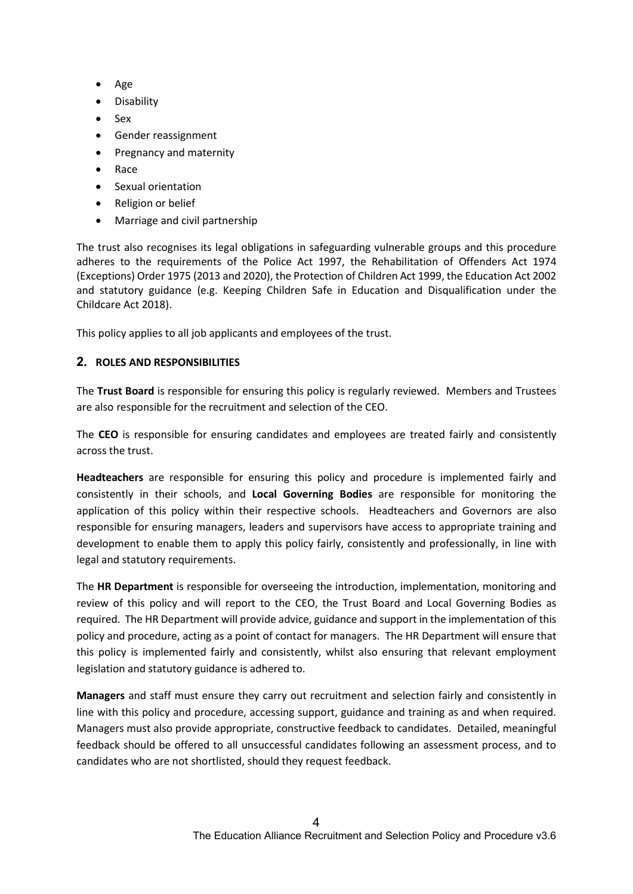- Age
- **•** Disability
- Sex
- Gender reassignment
- Pregnancy and maternity
- Race
- Sexual orientation
- Religion or belief
- Marriage and civil partnership

The trust also recognises its legal obligations in safeguarding vulnerable groups and this procedure adheres to the requirements of the Police Act 1997, the Rehabilitation of Offenders Act 1974 (Exceptions) Order 1975 (2013 and 2020), the Protection of Children Act 1999, the Education Act 2002 and statutory guidance (e.g. Keeping Children Safe in Education and Disqualification under the Childcare Act 2018).

This policy applies to all job applicants and employees of the trust.

## 2. ROLES AND RESPONSIBILITIES

The Trust Board is responsible for ensuring this policy is regularly reviewed. Members and Trustees are also responsible for the recruitment and selection of the CEO.

The CEO is responsible for ensuring candidates and employees are treated fairly and consistently across the trust.

Headteachers are responsible for ensuring this policy and procedure is implemented fairly and consistently in their schools, and Local Governing Bodies are responsible for monitoring the application of this policy within their respective schools. Headteachers and Governors are also responsible for ensuring managers, leaders and supervisors have access to appropriate training and development to enable them to apply this policy fairly, consistently and professionally, in line with legal and statutory requirements.

The **HR Department** is responsible for overseeing the introduction, implementation, monitoring and review of this policy and will report to the CEO, the Trust Board and Local Governing Bodies as required. The HR Department will provide advice, guidance and support in the implementation of this policy and procedure, acting as a point of contact for managers. The HR Department will ensure that this policy is implemented fairly and consistently, whilst also ensuring that relevant employment legislation and statutory guidance is adhered to.

Managers and staff must ensure they carry out recruitment and selection fairly and consistently in line with this policy and procedure, accessing support, guidance and training as and when required. Managers must also provide appropriate, constructive feedback to candidates. Detailed, meaningful feedback should be offered to all unsuccessful candidates following an assessment process, and to candidates who are not shortlisted, should they request feedback.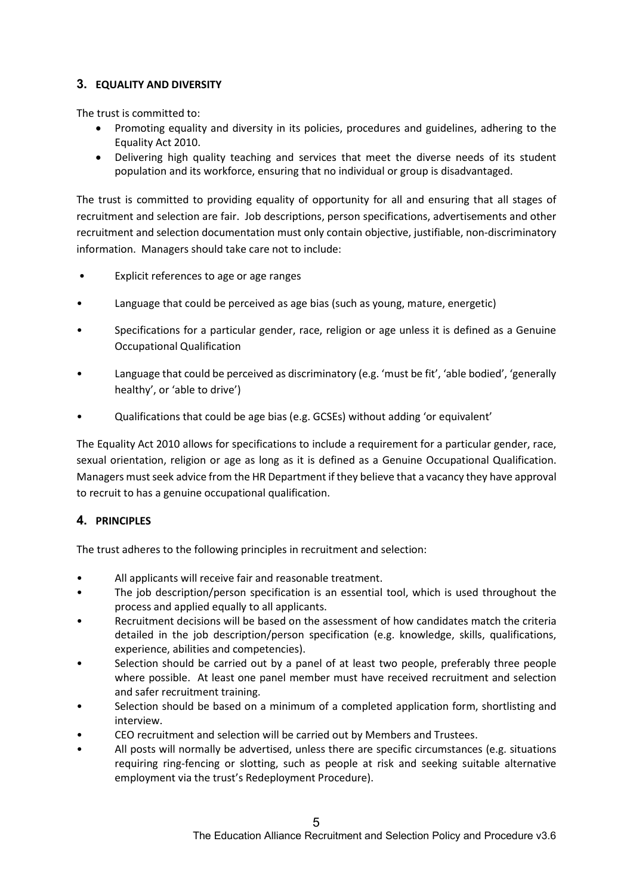# 3. EQUALITY AND DIVERSITY

The trust is committed to:

- Promoting equality and diversity in its policies, procedures and guidelines, adhering to the Equality Act 2010.
- Delivering high quality teaching and services that meet the diverse needs of its student population and its workforce, ensuring that no individual or group is disadvantaged.

The trust is committed to providing equality of opportunity for all and ensuring that all stages of recruitment and selection are fair. Job descriptions, person specifications, advertisements and other recruitment and selection documentation must only contain objective, justifiable, non-discriminatory information. Managers should take care not to include:

- Explicit references to age or age ranges
- Language that could be perceived as age bias (such as young, mature, energetic)
- Specifications for a particular gender, race, religion or age unless it is defined as a Genuine Occupational Qualification
- Language that could be perceived as discriminatory (e.g. 'must be fit', 'able bodied', 'generally healthy', or 'able to drive')
- Qualifications that could be age bias (e.g. GCSEs) without adding 'or equivalent'

The Equality Act 2010 allows for specifications to include a requirement for a particular gender, race, sexual orientation, religion or age as long as it is defined as a Genuine Occupational Qualification. Managers must seek advice from the HR Department if they believe that a vacancy they have approval to recruit to has a genuine occupational qualification.

# 4. PRINCIPLES

The trust adheres to the following principles in recruitment and selection:

- All applicants will receive fair and reasonable treatment.
- The job description/person specification is an essential tool, which is used throughout the process and applied equally to all applicants.
- Recruitment decisions will be based on the assessment of how candidates match the criteria detailed in the job description/person specification (e.g. knowledge, skills, qualifications, experience, abilities and competencies).
- Selection should be carried out by a panel of at least two people, preferably three people where possible. At least one panel member must have received recruitment and selection and safer recruitment training.
- Selection should be based on a minimum of a completed application form, shortlisting and interview.
- CEO recruitment and selection will be carried out by Members and Trustees.
- All posts will normally be advertised, unless there are specific circumstances (e.g. situations requiring ring-fencing or slotting, such as people at risk and seeking suitable alternative employment via the trust's Redeployment Procedure).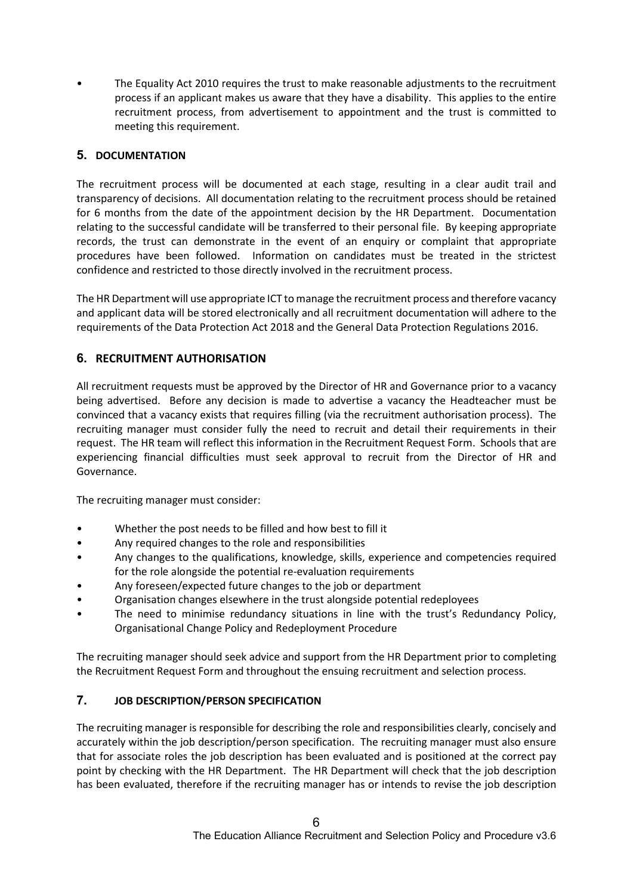• The Equality Act 2010 requires the trust to make reasonable adjustments to the recruitment process if an applicant makes us aware that they have a disability. This applies to the entire recruitment process, from advertisement to appointment and the trust is committed to meeting this requirement.

# 5. DOCUMENTATION

The recruitment process will be documented at each stage, resulting in a clear audit trail and transparency of decisions. All documentation relating to the recruitment process should be retained for 6 months from the date of the appointment decision by the HR Department. Documentation relating to the successful candidate will be transferred to their personal file. By keeping appropriate records, the trust can demonstrate in the event of an enquiry or complaint that appropriate procedures have been followed. Information on candidates must be treated in the strictest confidence and restricted to those directly involved in the recruitment process.

The HR Department will use appropriate ICT to manage the recruitment process and therefore vacancy and applicant data will be stored electronically and all recruitment documentation will adhere to the requirements of the Data Protection Act 2018 and the General Data Protection Regulations 2016.

# 6. RECRUITMENT AUTHORISATION

All recruitment requests must be approved by the Director of HR and Governance prior to a vacancy being advertised. Before any decision is made to advertise a vacancy the Headteacher must be convinced that a vacancy exists that requires filling (via the recruitment authorisation process). The recruiting manager must consider fully the need to recruit and detail their requirements in their request. The HR team will reflect this information in the Recruitment Request Form. Schools that are experiencing financial difficulties must seek approval to recruit from the Director of HR and Governance.

The recruiting manager must consider:

- Whether the post needs to be filled and how best to fill it
- Any required changes to the role and responsibilities
- Any changes to the qualifications, knowledge, skills, experience and competencies required for the role alongside the potential re-evaluation requirements
- Any foreseen/expected future changes to the job or department
- Organisation changes elsewhere in the trust alongside potential redeployees
- The need to minimise redundancy situations in line with the trust's Redundancy Policy, Organisational Change Policy and Redeployment Procedure

The recruiting manager should seek advice and support from the HR Department prior to completing the Recruitment Request Form and throughout the ensuing recruitment and selection process.

# 7. JOB DESCRIPTION/PERSON SPECIFICATION

The recruiting manager is responsible for describing the role and responsibilities clearly, concisely and accurately within the job description/person specification. The recruiting manager must also ensure that for associate roles the job description has been evaluated and is positioned at the correct pay point by checking with the HR Department. The HR Department will check that the job description has been evaluated, therefore if the recruiting manager has or intends to revise the job description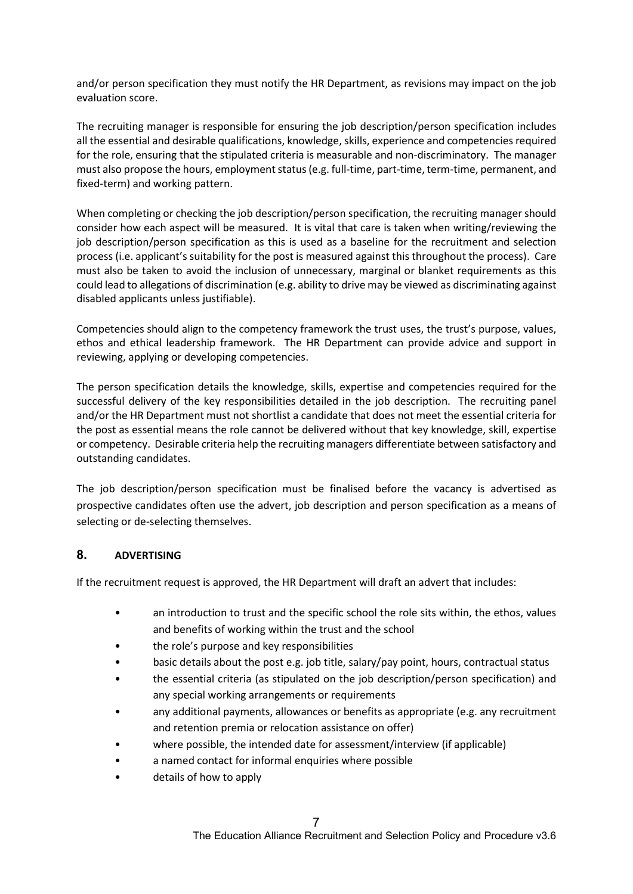and/or person specification they must notify the HR Department, as revisions may impact on the job evaluation score.

The recruiting manager is responsible for ensuring the job description/person specification includes all the essential and desirable qualifications, knowledge, skills, experience and competencies required for the role, ensuring that the stipulated criteria is measurable and non-discriminatory. The manager must also propose the hours, employment status (e.g. full-time, part-time, term-time, permanent, and fixed-term) and working pattern.

When completing or checking the job description/person specification, the recruiting manager should consider how each aspect will be measured. It is vital that care is taken when writing/reviewing the job description/person specification as this is used as a baseline for the recruitment and selection process (i.e. applicant's suitability for the post is measured against this throughout the process). Care must also be taken to avoid the inclusion of unnecessary, marginal or blanket requirements as this could lead to allegations of discrimination (e.g. ability to drive may be viewed as discriminating against disabled applicants unless justifiable).

Competencies should align to the competency framework the trust uses, the trust's purpose, values, ethos and ethical leadership framework. The HR Department can provide advice and support in reviewing, applying or developing competencies.

The person specification details the knowledge, skills, expertise and competencies required for the successful delivery of the key responsibilities detailed in the job description. The recruiting panel and/or the HR Department must not shortlist a candidate that does not meet the essential criteria for the post as essential means the role cannot be delivered without that key knowledge, skill, expertise or competency. Desirable criteria help the recruiting managers differentiate between satisfactory and outstanding candidates.

The job description/person specification must be finalised before the vacancy is advertised as prospective candidates often use the advert, job description and person specification as a means of selecting or de-selecting themselves.

# 8. ADVERTISING

If the recruitment request is approved, the HR Department will draft an advert that includes:

- an introduction to trust and the specific school the role sits within, the ethos, values and benefits of working within the trust and the school
- the role's purpose and key responsibilities
- basic details about the post e.g. job title, salary/pay point, hours, contractual status
- the essential criteria (as stipulated on the job description/person specification) and any special working arrangements or requirements
- any additional payments, allowances or benefits as appropriate (e.g. any recruitment and retention premia or relocation assistance on offer)
- where possible, the intended date for assessment/interview (if applicable)
- a named contact for informal enquiries where possible
- details of how to apply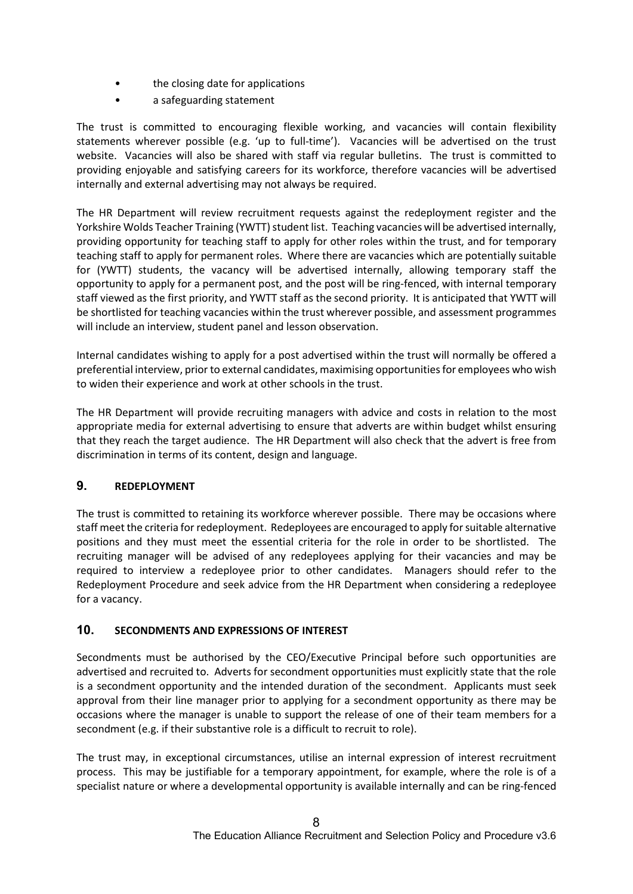- the closing date for applications
- a safeguarding statement

The trust is committed to encouraging flexible working, and vacancies will contain flexibility statements wherever possible (e.g. 'up to full-time'). Vacancies will be advertised on the trust website. Vacancies will also be shared with staff via regular bulletins. The trust is committed to providing enjoyable and satisfying careers for its workforce, therefore vacancies will be advertised internally and external advertising may not always be required.

The HR Department will review recruitment requests against the redeployment register and the Yorkshire Wolds Teacher Training (YWTT) student list. Teaching vacancies will be advertised internally, providing opportunity for teaching staff to apply for other roles within the trust, and for temporary teaching staff to apply for permanent roles. Where there are vacancies which are potentially suitable for (YWTT) students, the vacancy will be advertised internally, allowing temporary staff the opportunity to apply for a permanent post, and the post will be ring-fenced, with internal temporary staff viewed as the first priority, and YWTT staff as the second priority. It is anticipated that YWTT will be shortlisted for teaching vacancies within the trust wherever possible, and assessment programmes will include an interview, student panel and lesson observation.

Internal candidates wishing to apply for a post advertised within the trust will normally be offered a preferential interview, prior to external candidates, maximising opportunities for employees who wish to widen their experience and work at other schools in the trust.

The HR Department will provide recruiting managers with advice and costs in relation to the most appropriate media for external advertising to ensure that adverts are within budget whilst ensuring that they reach the target audience. The HR Department will also check that the advert is free from discrimination in terms of its content, design and language.

#### 9. REDEPLOYMENT

The trust is committed to retaining its workforce wherever possible. There may be occasions where staff meet the criteria for redeployment. Redeployees are encouraged to apply for suitable alternative positions and they must meet the essential criteria for the role in order to be shortlisted. The recruiting manager will be advised of any redeployees applying for their vacancies and may be required to interview a redeployee prior to other candidates. Managers should refer to the Redeployment Procedure and seek advice from the HR Department when considering a redeployee for a vacancy.

#### 10. SECONDMENTS AND EXPRESSIONS OF INTEREST

Secondments must be authorised by the CEO/Executive Principal before such opportunities are advertised and recruited to. Adverts for secondment opportunities must explicitly state that the role is a secondment opportunity and the intended duration of the secondment. Applicants must seek approval from their line manager prior to applying for a secondment opportunity as there may be occasions where the manager is unable to support the release of one of their team members for a secondment (e.g. if their substantive role is a difficult to recruit to role).

The trust may, in exceptional circumstances, utilise an internal expression of interest recruitment process. This may be justifiable for a temporary appointment, for example, where the role is of a specialist nature or where a developmental opportunity is available internally and can be ring-fenced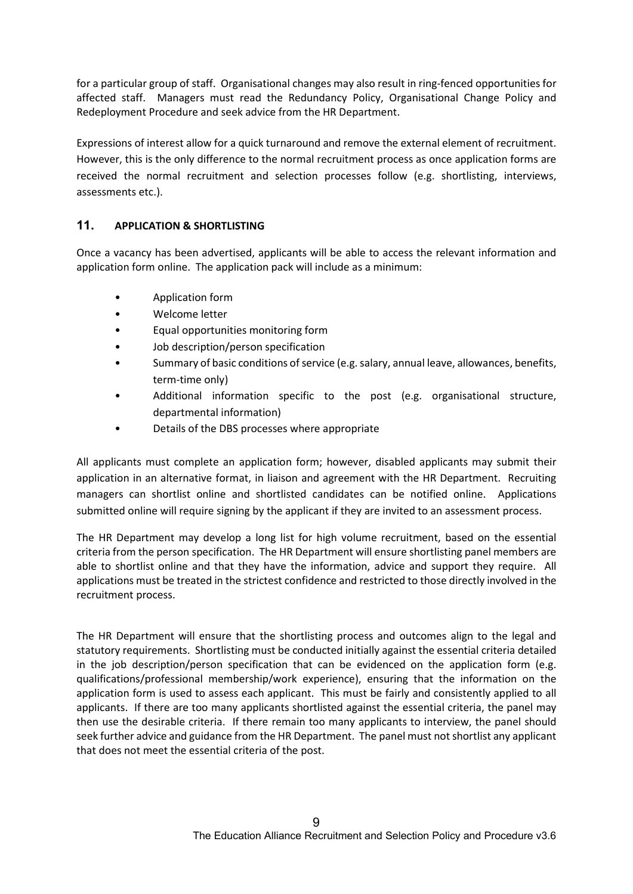for a particular group of staff. Organisational changes may also result in ring-fenced opportunities for affected staff. Managers must read the Redundancy Policy, Organisational Change Policy and Redeployment Procedure and seek advice from the HR Department.

Expressions of interest allow for a quick turnaround and remove the external element of recruitment. However, this is the only difference to the normal recruitment process as once application forms are received the normal recruitment and selection processes follow (e.g. shortlisting, interviews, assessments etc.).

## 11. APPLICATION & SHORTLISTING

Once a vacancy has been advertised, applicants will be able to access the relevant information and application form online. The application pack will include as a minimum:

- Application form
- Welcome letter
- Equal opportunities monitoring form
- Job description/person specification
- Summary of basic conditions of service (e.g. salary, annual leave, allowances, benefits, term-time only)
- Additional information specific to the post (e.g. organisational structure, departmental information)
- Details of the DBS processes where appropriate

All applicants must complete an application form; however, disabled applicants may submit their application in an alternative format, in liaison and agreement with the HR Department. Recruiting managers can shortlist online and shortlisted candidates can be notified online. Applications submitted online will require signing by the applicant if they are invited to an assessment process.

The HR Department may develop a long list for high volume recruitment, based on the essential criteria from the person specification. The HR Department will ensure shortlisting panel members are able to shortlist online and that they have the information, advice and support they require. All applications must be treated in the strictest confidence and restricted to those directly involved in the recruitment process.

The HR Department will ensure that the shortlisting process and outcomes align to the legal and statutory requirements. Shortlisting must be conducted initially against the essential criteria detailed in the job description/person specification that can be evidenced on the application form (e.g. qualifications/professional membership/work experience), ensuring that the information on the application form is used to assess each applicant. This must be fairly and consistently applied to all applicants. If there are too many applicants shortlisted against the essential criteria, the panel may then use the desirable criteria. If there remain too many applicants to interview, the panel should seek further advice and guidance from the HR Department. The panel must not shortlist any applicant that does not meet the essential criteria of the post.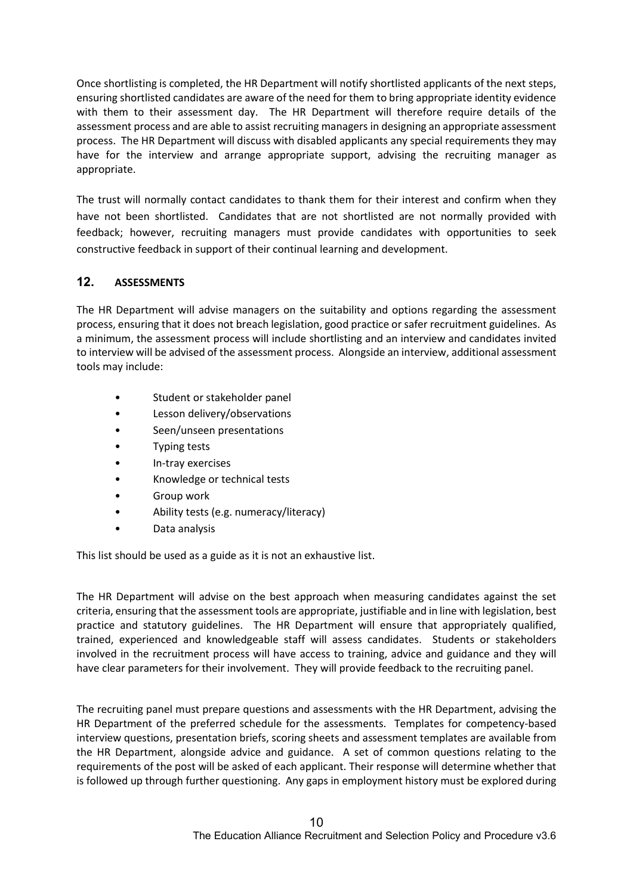Once shortlisting is completed, the HR Department will notify shortlisted applicants of the next steps, ensuring shortlisted candidates are aware of the need for them to bring appropriate identity evidence with them to their assessment day. The HR Department will therefore require details of the assessment process and are able to assist recruiting managers in designing an appropriate assessment process. The HR Department will discuss with disabled applicants any special requirements they may have for the interview and arrange appropriate support, advising the recruiting manager as appropriate.

The trust will normally contact candidates to thank them for their interest and confirm when they have not been shortlisted. Candidates that are not shortlisted are not normally provided with feedback; however, recruiting managers must provide candidates with opportunities to seek constructive feedback in support of their continual learning and development.

# 12. ASSESSMENTS

The HR Department will advise managers on the suitability and options regarding the assessment process, ensuring that it does not breach legislation, good practice or safer recruitment guidelines. As a minimum, the assessment process will include shortlisting and an interview and candidates invited to interview will be advised of the assessment process. Alongside an interview, additional assessment tools may include:

- Student or stakeholder panel
- Lesson delivery/observations
- Seen/unseen presentations
- Typing tests
- In-tray exercises
- Knowledge or technical tests
- Group work
- Ability tests (e.g. numeracy/literacy)
- Data analysis

This list should be used as a guide as it is not an exhaustive list.

The HR Department will advise on the best approach when measuring candidates against the set criteria, ensuring that the assessment tools are appropriate, justifiable and in line with legislation, best practice and statutory guidelines. The HR Department will ensure that appropriately qualified, trained, experienced and knowledgeable staff will assess candidates. Students or stakeholders involved in the recruitment process will have access to training, advice and guidance and they will have clear parameters for their involvement. They will provide feedback to the recruiting panel.

The recruiting panel must prepare questions and assessments with the HR Department, advising the HR Department of the preferred schedule for the assessments. Templates for competency-based interview questions, presentation briefs, scoring sheets and assessment templates are available from the HR Department, alongside advice and guidance. A set of common questions relating to the requirements of the post will be asked of each applicant. Their response will determine whether that is followed up through further questioning. Any gaps in employment history must be explored during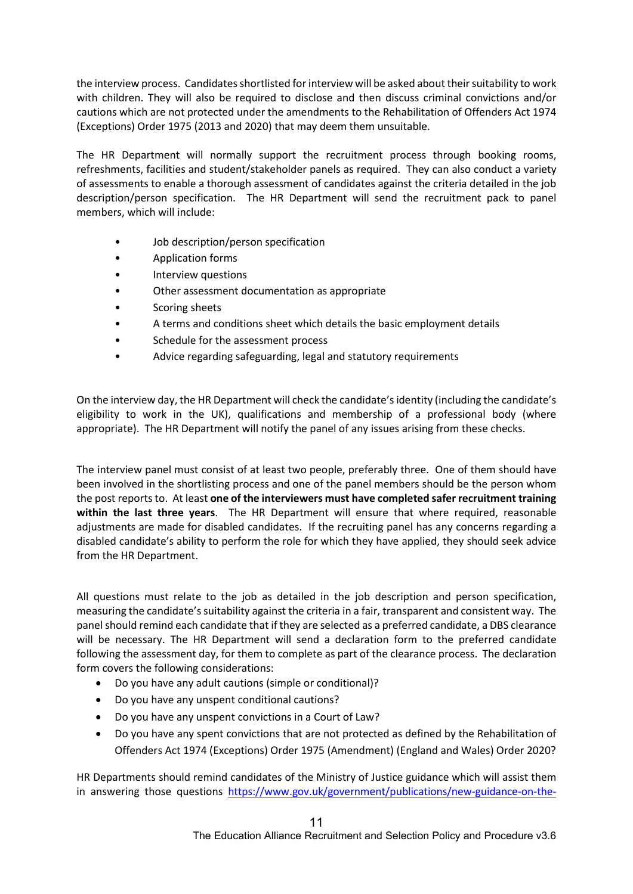the interview process. Candidates shortlisted for interview will be asked about their suitability to work with children. They will also be required to disclose and then discuss criminal convictions and/or cautions which are not protected under the amendments to the Rehabilitation of Offenders Act 1974 (Exceptions) Order 1975 (2013 and 2020) that may deem them unsuitable.

The HR Department will normally support the recruitment process through booking rooms, refreshments, facilities and student/stakeholder panels as required. They can also conduct a variety of assessments to enable a thorough assessment of candidates against the criteria detailed in the job description/person specification. The HR Department will send the recruitment pack to panel members, which will include:

- Job description/person specification
- Application forms
- Interview questions
- Other assessment documentation as appropriate
- Scoring sheets
- A terms and conditions sheet which details the basic employment details
- Schedule for the assessment process
- Advice regarding safeguarding, legal and statutory requirements

On the interview day, the HR Department will check the candidate's identity (including the candidate's eligibility to work in the UK), qualifications and membership of a professional body (where appropriate). The HR Department will notify the panel of any issues arising from these checks.

The interview panel must consist of at least two people, preferably three. One of them should have been involved in the shortlisting process and one of the panel members should be the person whom the post reports to. At least one of the interviewers must have completed safer recruitment training within the last three years. The HR Department will ensure that where required, reasonable adjustments are made for disabled candidates. If the recruiting panel has any concerns regarding a disabled candidate's ability to perform the role for which they have applied, they should seek advice from the HR Department.

All questions must relate to the job as detailed in the job description and person specification, measuring the candidate's suitability against the criteria in a fair, transparent and consistent way. The panel should remind each candidate that if they are selected as a preferred candidate, a DBS clearance will be necessary. The HR Department will send a declaration form to the preferred candidate following the assessment day, for them to complete as part of the clearance process. The declaration form covers the following considerations:

- Do you have any adult cautions (simple or conditional)?
- Do you have any unspent conditional cautions?
- Do you have any unspent convictions in a Court of Law?
- Do you have any spent convictions that are not protected as defined by the Rehabilitation of Offenders Act 1974 (Exceptions) Order 1975 (Amendment) (England and Wales) Order 2020?

HR Departments should remind candidates of the Ministry of Justice guidance which will assist them in answering those questions https://www.gov.uk/government/publications/new-guidance-on-the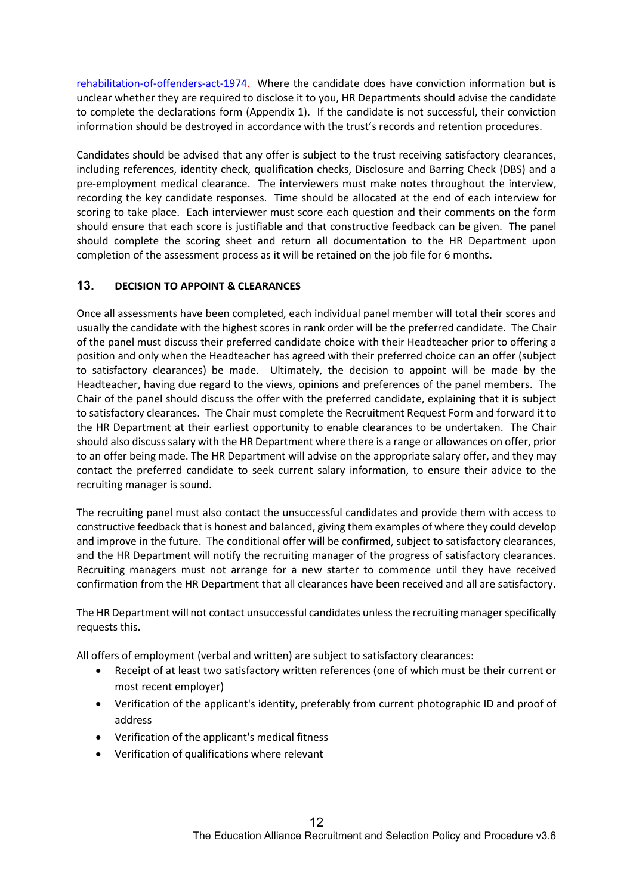rehabilitation-of-offenders-act-1974. Where the candidate does have conviction information but is unclear whether they are required to disclose it to you, HR Departments should advise the candidate to complete the declarations form (Appendix 1). If the candidate is not successful, their conviction information should be destroyed in accordance with the trust's records and retention procedures.

Candidates should be advised that any offer is subject to the trust receiving satisfactory clearances, including references, identity check, qualification checks, Disclosure and Barring Check (DBS) and a pre-employment medical clearance. The interviewers must make notes throughout the interview, recording the key candidate responses. Time should be allocated at the end of each interview for scoring to take place. Each interviewer must score each question and their comments on the form should ensure that each score is justifiable and that constructive feedback can be given. The panel should complete the scoring sheet and return all documentation to the HR Department upon completion of the assessment process as it will be retained on the job file for 6 months.

#### 13. DECISION TO APPOINT & CLEARANCES

Once all assessments have been completed, each individual panel member will total their scores and usually the candidate with the highest scores in rank order will be the preferred candidate. The Chair of the panel must discuss their preferred candidate choice with their Headteacher prior to offering a position and only when the Headteacher has agreed with their preferred choice can an offer (subject to satisfactory clearances) be made. Ultimately, the decision to appoint will be made by the Headteacher, having due regard to the views, opinions and preferences of the panel members. The Chair of the panel should discuss the offer with the preferred candidate, explaining that it is subject to satisfactory clearances. The Chair must complete the Recruitment Request Form and forward it to the HR Department at their earliest opportunity to enable clearances to be undertaken. The Chair should also discuss salary with the HR Department where there is a range or allowances on offer, prior to an offer being made. The HR Department will advise on the appropriate salary offer, and they may contact the preferred candidate to seek current salary information, to ensure their advice to the recruiting manager is sound.

The recruiting panel must also contact the unsuccessful candidates and provide them with access to constructive feedback that is honest and balanced, giving them examples of where they could develop and improve in the future. The conditional offer will be confirmed, subject to satisfactory clearances, and the HR Department will notify the recruiting manager of the progress of satisfactory clearances. Recruiting managers must not arrange for a new starter to commence until they have received confirmation from the HR Department that all clearances have been received and all are satisfactory.

The HR Department will not contact unsuccessful candidates unless the recruiting manager specifically requests this.

All offers of employment (verbal and written) are subject to satisfactory clearances:

- Receipt of at least two satisfactory written references (one of which must be their current or most recent employer)
- Verification of the applicant's identity, preferably from current photographic ID and proof of address
- Verification of the applicant's medical fitness
- Verification of qualifications where relevant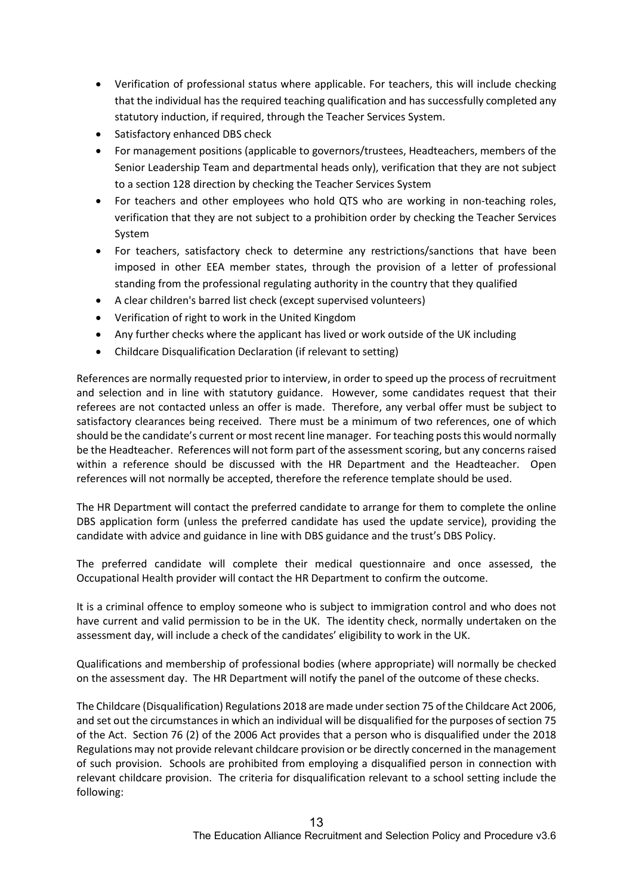- Verification of professional status where applicable. For teachers, this will include checking that the individual has the required teaching qualification and has successfully completed any statutory induction, if required, through the Teacher Services System.
- Satisfactory enhanced DBS check
- For management positions (applicable to governors/trustees, Headteachers, members of the Senior Leadership Team and departmental heads only), verification that they are not subject to a section 128 direction by checking the Teacher Services System
- For teachers and other employees who hold QTS who are working in non-teaching roles, verification that they are not subject to a prohibition order by checking the Teacher Services System
- For teachers, satisfactory check to determine any restrictions/sanctions that have been imposed in other EEA member states, through the provision of a letter of professional standing from the professional regulating authority in the country that they qualified
- A clear children's barred list check (except supervised volunteers)
- Verification of right to work in the United Kingdom
- Any further checks where the applicant has lived or work outside of the UK including
- Childcare Disqualification Declaration (if relevant to setting)

References are normally requested prior to interview, in order to speed up the process of recruitment and selection and in line with statutory guidance. However, some candidates request that their referees are not contacted unless an offer is made. Therefore, any verbal offer must be subject to satisfactory clearances being received. There must be a minimum of two references, one of which should be the candidate's current or most recent line manager. For teaching posts this would normally be the Headteacher. References will not form part of the assessment scoring, but any concerns raised within a reference should be discussed with the HR Department and the Headteacher. Open references will not normally be accepted, therefore the reference template should be used.

The HR Department will contact the preferred candidate to arrange for them to complete the online DBS application form (unless the preferred candidate has used the update service), providing the candidate with advice and guidance in line with DBS guidance and the trust's DBS Policy.

The preferred candidate will complete their medical questionnaire and once assessed, the Occupational Health provider will contact the HR Department to confirm the outcome.

It is a criminal offence to employ someone who is subject to immigration control and who does not have current and valid permission to be in the UK. The identity check, normally undertaken on the assessment day, will include a check of the candidates' eligibility to work in the UK.

Qualifications and membership of professional bodies (where appropriate) will normally be checked on the assessment day. The HR Department will notify the panel of the outcome of these checks.

The Childcare (Disqualification) Regulations 2018 are made under section 75 of the Childcare Act 2006, and set out the circumstances in which an individual will be disqualified for the purposes of section 75 of the Act. Section 76 (2) of the 2006 Act provides that a person who is disqualified under the 2018 Regulations may not provide relevant childcare provision or be directly concerned in the management of such provision. Schools are prohibited from employing a disqualified person in connection with relevant childcare provision. The criteria for disqualification relevant to a school setting include the following: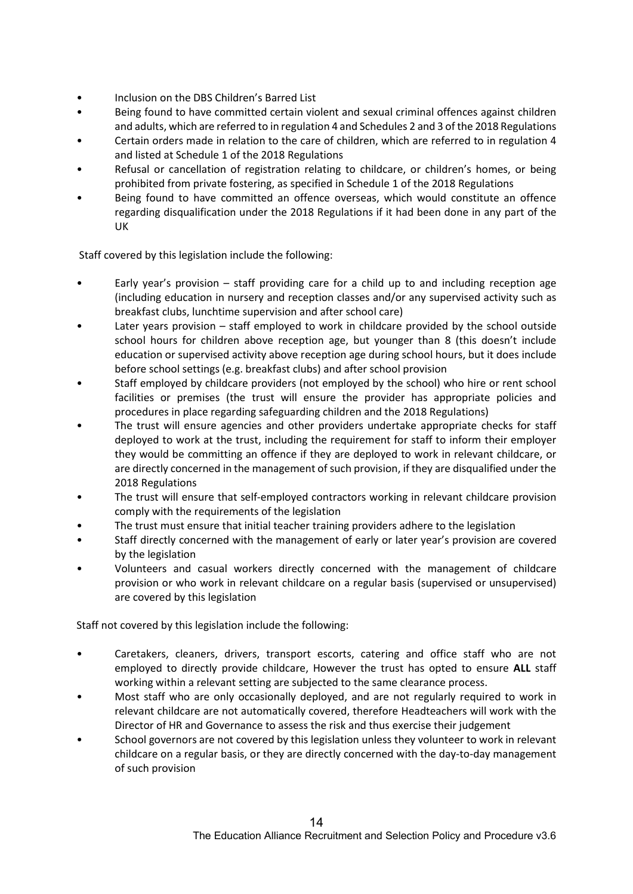- Inclusion on the DBS Children's Barred List
- Being found to have committed certain violent and sexual criminal offences against children and adults, which are referred to in regulation 4 and Schedules 2 and 3 of the 2018 Regulations
- Certain orders made in relation to the care of children, which are referred to in regulation 4 and listed at Schedule 1 of the 2018 Regulations
- Refusal or cancellation of registration relating to childcare, or children's homes, or being prohibited from private fostering, as specified in Schedule 1 of the 2018 Regulations
- Being found to have committed an offence overseas, which would constitute an offence regarding disqualification under the 2018 Regulations if it had been done in any part of the UK

Staff covered by this legislation include the following:

- Early year's provision  $-$  staff providing care for a child up to and including reception age (including education in nursery and reception classes and/or any supervised activity such as breakfast clubs, lunchtime supervision and after school care)
- Later years provision staff employed to work in childcare provided by the school outside school hours for children above reception age, but younger than 8 (this doesn't include education or supervised activity above reception age during school hours, but it does include before school settings (e.g. breakfast clubs) and after school provision
- Staff employed by childcare providers (not employed by the school) who hire or rent school facilities or premises (the trust will ensure the provider has appropriate policies and procedures in place regarding safeguarding children and the 2018 Regulations)
- The trust will ensure agencies and other providers undertake appropriate checks for staff deployed to work at the trust, including the requirement for staff to inform their employer they would be committing an offence if they are deployed to work in relevant childcare, or are directly concerned in the management of such provision, if they are disqualified under the 2018 Regulations
- The trust will ensure that self-employed contractors working in relevant childcare provision comply with the requirements of the legislation
- The trust must ensure that initial teacher training providers adhere to the legislation
- Staff directly concerned with the management of early or later year's provision are covered by the legislation
- Volunteers and casual workers directly concerned with the management of childcare provision or who work in relevant childcare on a regular basis (supervised or unsupervised) are covered by this legislation

Staff not covered by this legislation include the following:

- Caretakers, cleaners, drivers, transport escorts, catering and office staff who are not employed to directly provide childcare, However the trust has opted to ensure ALL staff working within a relevant setting are subjected to the same clearance process.
- Most staff who are only occasionally deployed, and are not regularly required to work in relevant childcare are not automatically covered, therefore Headteachers will work with the Director of HR and Governance to assess the risk and thus exercise their judgement
- School governors are not covered by this legislation unless they volunteer to work in relevant childcare on a regular basis, or they are directly concerned with the day-to-day management of such provision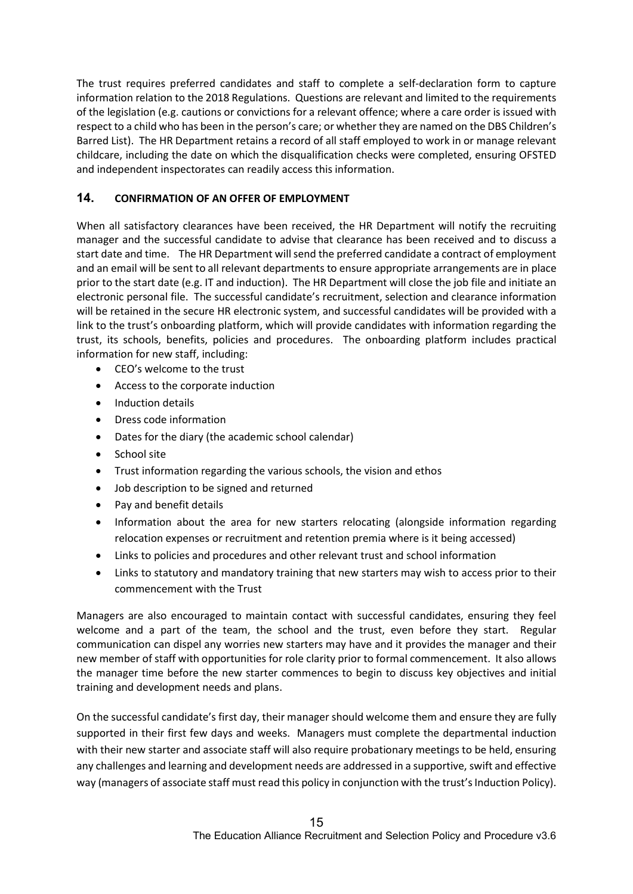The trust requires preferred candidates and staff to complete a self-declaration form to capture information relation to the 2018 Regulations. Questions are relevant and limited to the requirements of the legislation (e.g. cautions or convictions for a relevant offence; where a care order is issued with respect to a child who has been in the person's care; or whether they are named on the DBS Children's Barred List). The HR Department retains a record of all staff employed to work in or manage relevant childcare, including the date on which the disqualification checks were completed, ensuring OFSTED and independent inspectorates can readily access this information.

## 14. CONFIRMATION OF AN OFFER OF EMPLOYMENT

When all satisfactory clearances have been received, the HR Department will notify the recruiting manager and the successful candidate to advise that clearance has been received and to discuss a start date and time. The HR Department will send the preferred candidate a contract of employment and an email will be sent to all relevant departments to ensure appropriate arrangements are in place prior to the start date (e.g. IT and induction). The HR Department will close the job file and initiate an electronic personal file. The successful candidate's recruitment, selection and clearance information will be retained in the secure HR electronic system, and successful candidates will be provided with a link to the trust's onboarding platform, which will provide candidates with information regarding the trust, its schools, benefits, policies and procedures. The onboarding platform includes practical information for new staff, including:

- CEO's welcome to the trust
- Access to the corporate induction
- Induction details
- Dress code information
- Dates for the diary (the academic school calendar)
- School site
- Trust information regarding the various schools, the vision and ethos
- Job description to be signed and returned
- Pay and benefit details
- Information about the area for new starters relocating (alongside information regarding relocation expenses or recruitment and retention premia where is it being accessed)
- Links to policies and procedures and other relevant trust and school information
- Links to statutory and mandatory training that new starters may wish to access prior to their commencement with the Trust

Managers are also encouraged to maintain contact with successful candidates, ensuring they feel welcome and a part of the team, the school and the trust, even before they start. Regular communication can dispel any worries new starters may have and it provides the manager and their new member of staff with opportunities for role clarity prior to formal commencement. It also allows the manager time before the new starter commences to begin to discuss key objectives and initial training and development needs and plans.

On the successful candidate's first day, their manager should welcome them and ensure they are fully supported in their first few days and weeks. Managers must complete the departmental induction with their new starter and associate staff will also require probationary meetings to be held, ensuring any challenges and learning and development needs are addressed in a supportive, swift and effective way (managers of associate staff must read this policy in conjunction with the trust's Induction Policy).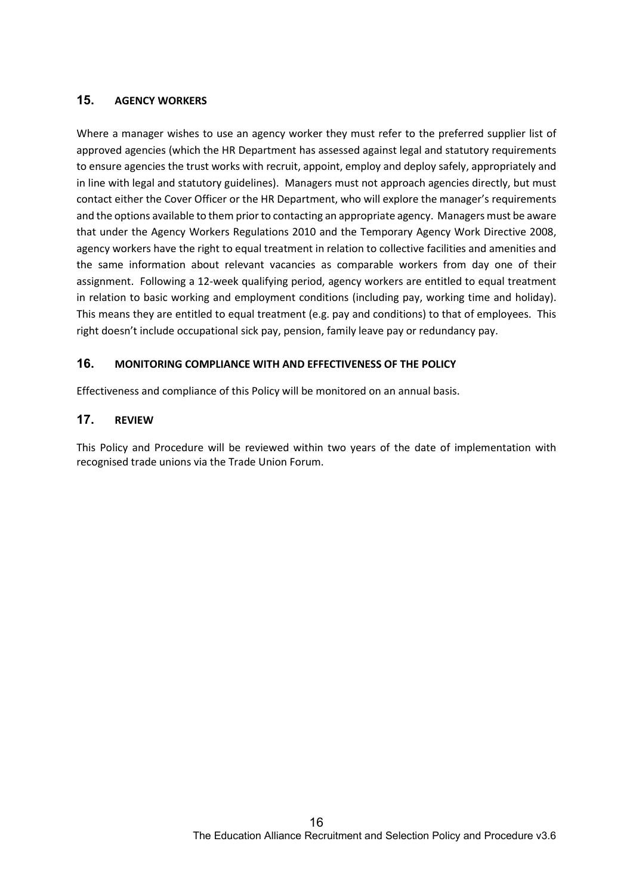#### 15. AGENCY WORKERS

Where a manager wishes to use an agency worker they must refer to the preferred supplier list of approved agencies (which the HR Department has assessed against legal and statutory requirements to ensure agencies the trust works with recruit, appoint, employ and deploy safely, appropriately and in line with legal and statutory guidelines). Managers must not approach agencies directly, but must contact either the Cover Officer or the HR Department, who will explore the manager's requirements and the options available to them prior to contacting an appropriate agency. Managers must be aware that under the Agency Workers Regulations 2010 and the Temporary Agency Work Directive 2008, agency workers have the right to equal treatment in relation to collective facilities and amenities and the same information about relevant vacancies as comparable workers from day one of their assignment. Following a 12-week qualifying period, agency workers are entitled to equal treatment in relation to basic working and employment conditions (including pay, working time and holiday). This means they are entitled to equal treatment (e.g. pay and conditions) to that of employees. This right doesn't include occupational sick pay, pension, family leave pay or redundancy pay.

#### 16. MONITORING COMPLIANCE WITH AND EFFECTIVENESS OF THE POLICY

Effectiveness and compliance of this Policy will be monitored on an annual basis.

#### 17. REVIEW

This Policy and Procedure will be reviewed within two years of the date of implementation with recognised trade unions via the Trade Union Forum.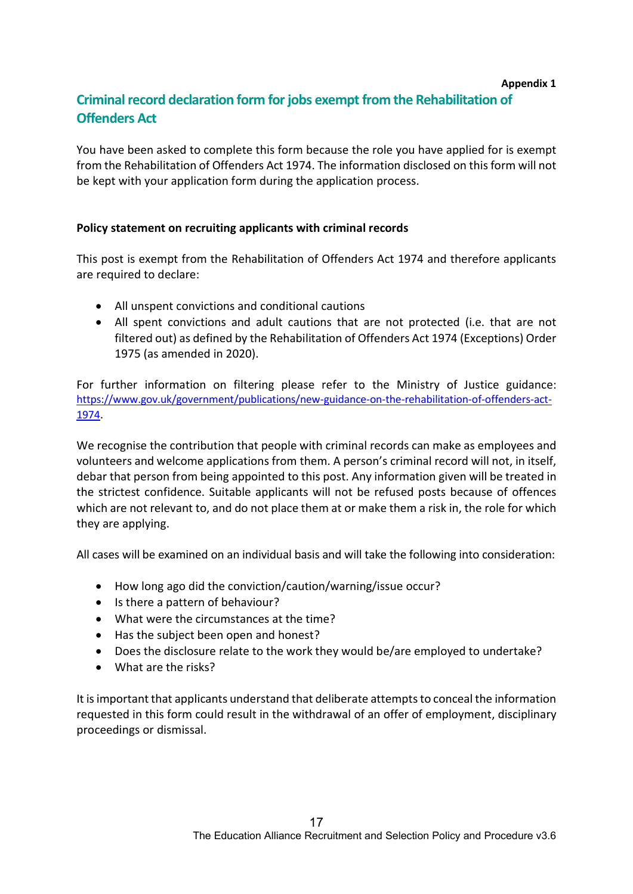#### Appendix 1

# Criminal record declaration form for jobs exempt from the Rehabilitation of Offenders Act

You have been asked to complete this form because the role you have applied for is exempt from the Rehabilitation of Offenders Act 1974. The information disclosed on this form will not be kept with your application form during the application process.

## Policy statement on recruiting applicants with criminal records

This post is exempt from the Rehabilitation of Offenders Act 1974 and therefore applicants are required to declare:

- All unspent convictions and conditional cautions
- All spent convictions and adult cautions that are not protected (i.e. that are not filtered out) as defined by the Rehabilitation of Offenders Act 1974 (Exceptions) Order 1975 (as amended in 2020).

For further information on filtering please refer to the Ministry of Justice guidance: https://www.gov.uk/government/publications/new-guidance-on-the-rehabilitation-of-offenders-act-1974.

We recognise the contribution that people with criminal records can make as employees and volunteers and welcome applications from them. A person's criminal record will not, in itself, debar that person from being appointed to this post. Any information given will be treated in the strictest confidence. Suitable applicants will not be refused posts because of offences which are not relevant to, and do not place them at or make them a risk in, the role for which they are applying.

All cases will be examined on an individual basis and will take the following into consideration:

- How long ago did the conviction/caution/warning/issue occur?
- Is there a pattern of behaviour?
- What were the circumstances at the time?
- Has the subject been open and honest?
- Does the disclosure relate to the work they would be/are employed to undertake?
- What are the risks?

It is important that applicants understand that deliberate attempts to conceal the information requested in this form could result in the withdrawal of an offer of employment, disciplinary proceedings or dismissal.